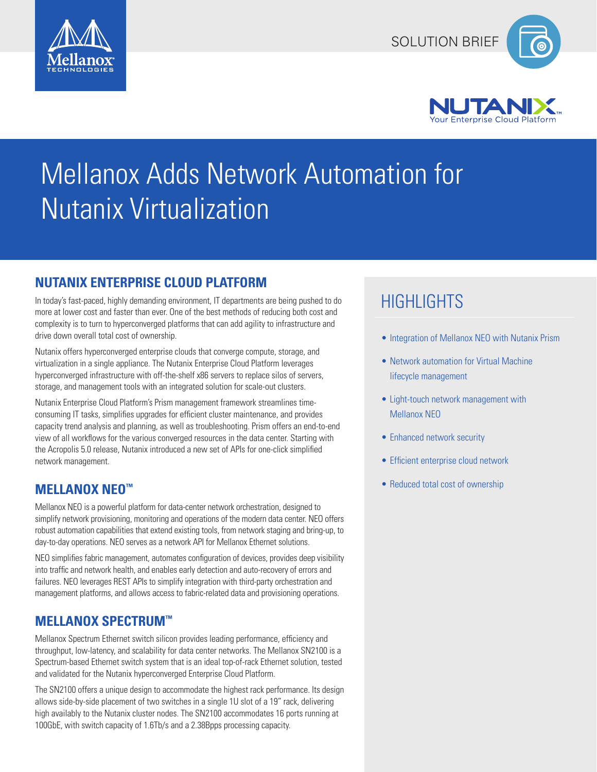





# Mellanox Adds Network Automation for Nutanix Virtualization

# **NUTANIX ENTERPRISE CLOUD PLATFORM**

In today's fast-paced, highly demanding environment, IT departments are being pushed to do more at lower cost and faster than ever. One of the best methods of reducing both cost and complexity is to turn to hyperconverged platforms that can add agility to infrastructure and drive down overall total cost of ownership.

Nutanix offers hyperconverged enterprise clouds that converge compute, storage, and virtualization in a single appliance. The Nutanix Enterprise Cloud Platform leverages hyperconverged infrastructure with off-the-shelf x86 servers to replace silos of servers, storage, and management tools with an integrated solution for scale-out clusters.

Nutanix Enterprise Cloud Platform's Prism management framework streamlines timeconsuming IT tasks, simplifies upgrades for efficient cluster maintenance, and provides capacity trend analysis and planning, as well as troubleshooting. Prism offers an end-to-end view of all workflows for the various converged resources in the data center. Starting with the Acropolis 5.0 release, Nutanix introduced a new set of APIs for one-click simplified network management.

# **MELLANOX NEO™**

Mellanox NEO is a powerful platform for data-center network orchestration, designed to simplify network provisioning, monitoring and operations of the modern data center. NEO offers robust automation capabilities that extend existing tools, from network staging and bring-up, to day-to-day operations. NEO serves as a network API for Mellanox Ethernet solutions.

NEO simplifies fabric management, automates configuration of devices, provides deep visibility into traffic and network health, and enables early detection and auto-recovery of errors and failures. NEO leverages REST APIs to simplify integration with third-party orchestration and management platforms, and allows access to fabric-related data and provisioning operations.

# **MELLANOX SPECTRUM™**

Mellanox Spectrum Ethernet switch silicon provides leading performance, efficiency and throughput, low-latency, and scalability for data center networks. The Mellanox SN2100 is a Spectrum-based Ethernet switch system that is an ideal top-of-rack Ethernet solution, tested and validated for the Nutanix hyperconverged Enterprise Cloud Platform.

The SN2100 offers a unique design to accommodate the highest rack performance. Its design allows side-by-side placement of two switches in a single 1U slot of a 19" rack, delivering high availably to the Nutanix cluster nodes. The SN2100 accommodates 16 ports running at 100GbE, with switch capacity of 1.6Tb/s and a 2.38Bpps processing capacity.

# **HIGHLIGHTS**

- Integration of Mellanox NEO with Nutanix Prism
- Network automation for Virtual Machine lifecycle management
- Light-touch network management with Mellanox NEO
- Enhanced network security
- Efficient enterprise cloud network
- Reduced total cost of ownership